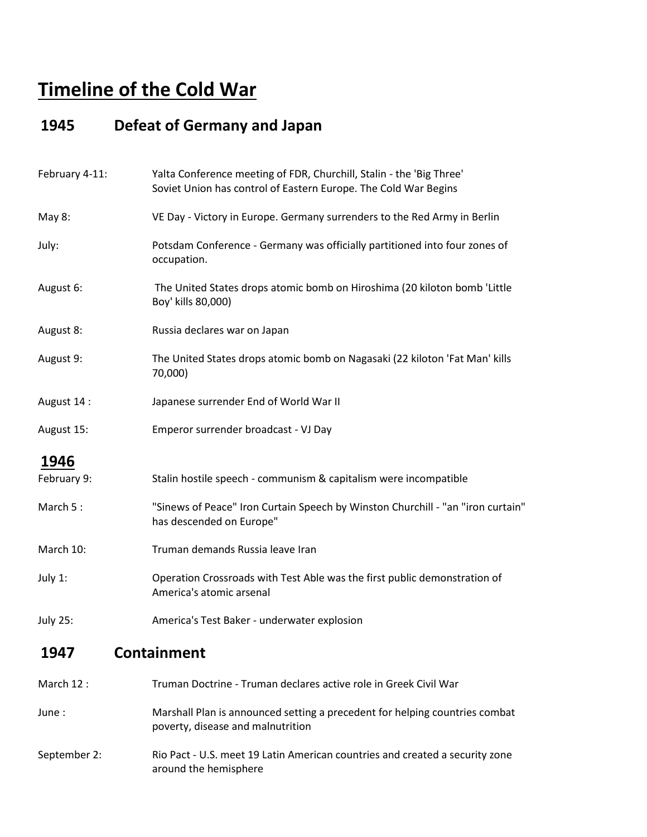## **Timeline of the Cold War**

#### **1945 Defeat of Germany and Japan**

| Yalta Conference meeting of FDR, Churchill, Stalin - the 'Big Three'<br>Soviet Union has control of Eastern Europe. The Cold War Begins |
|-----------------------------------------------------------------------------------------------------------------------------------------|
| VE Day - Victory in Europe. Germany surrenders to the Red Army in Berlin                                                                |
| Potsdam Conference - Germany was officially partitioned into four zones of<br>occupation.                                               |
| The United States drops atomic bomb on Hiroshima (20 kiloton bomb 'Little<br>Boy' kills 80,000)                                         |
| Russia declares war on Japan                                                                                                            |
| The United States drops atomic bomb on Nagasaki (22 kiloton 'Fat Man' kills<br>70,000)                                                  |
| Japanese surrender End of World War II                                                                                                  |
| Emperor surrender broadcast - VJ Day                                                                                                    |
|                                                                                                                                         |
| Stalin hostile speech - communism & capitalism were incompatible                                                                        |
| "Sinews of Peace" Iron Curtain Speech by Winston Churchill - "an "iron curtain"<br>has descended on Europe"                             |
| Truman demands Russia leave Iran                                                                                                        |
| Operation Crossroads with Test Able was the first public demonstration of<br>America's atomic arsenal                                   |
| America's Test Baker - underwater explosion                                                                                             |
| <b>Containment</b>                                                                                                                      |
| Truman Doctrine - Truman declares active role in Greek Civil War                                                                        |
|                                                                                                                                         |

- June : Marshall Plan is announced setting a precedent for helping countries combat poverty, disease and malnutrition
- September 2: Rio Pact U.S. meet 19 Latin American countries and created a security zone around the hemisphere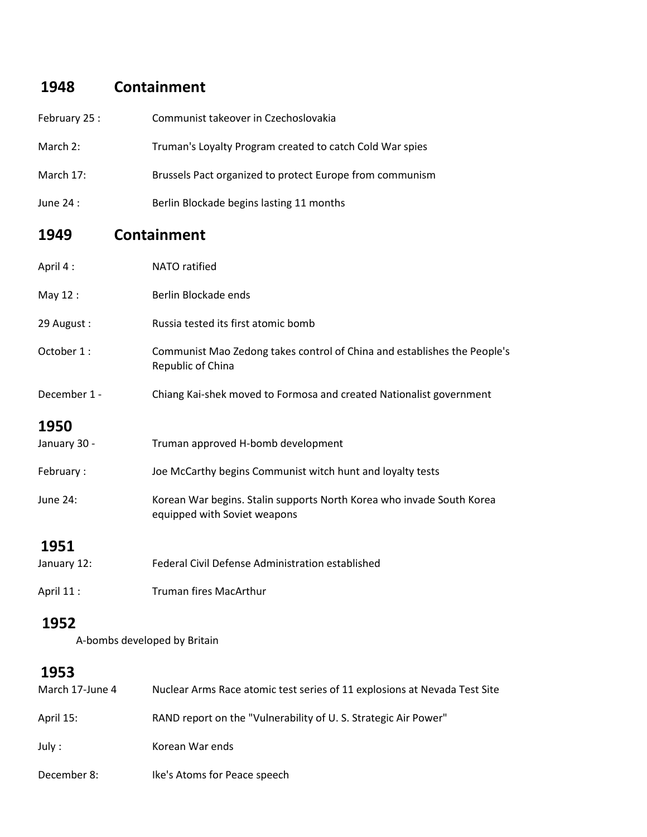## **1948 Containment**

| February 25 :        | Communist takeover in Czechoslovakia                                                                  |
|----------------------|-------------------------------------------------------------------------------------------------------|
| March 2:             | Truman's Loyalty Program created to catch Cold War spies                                              |
| March 17:            | Brussels Pact organized to protect Europe from communism                                              |
| June 24 :            | Berlin Blockade begins lasting 11 months                                                              |
| 1949                 | <b>Containment</b>                                                                                    |
| April 4:             | NATO ratified                                                                                         |
| May 12:              | Berlin Blockade ends                                                                                  |
| 29 August:           | Russia tested its first atomic bomb                                                                   |
| October 1:           | Communist Mao Zedong takes control of China and establishes the People's<br>Republic of China         |
| December 1 -         | Chiang Kai-shek moved to Formosa and created Nationalist government                                   |
| 1950<br>January 30 - | Truman approved H-bomb development                                                                    |
| February:            | Joe McCarthy begins Communist witch hunt and loyalty tests                                            |
| <b>June 24:</b>      | Korean War begins. Stalin supports North Korea who invade South Korea<br>equipped with Soviet weapons |
| 1951<br>January 12:  | Federal Civil Defense Administration established                                                      |
| April 11:            | <b>Truman fires MacArthur</b>                                                                         |

#### **1952**

A-bombs developed by Britain

#### **1953**

| March 17-June 4 | Nuclear Arms Race atomic test series of 11 explosions at Nevada Test Site |
|-----------------|---------------------------------------------------------------------------|
| April 15:       | RAND report on the "Vulnerability of U.S. Strategic Air Power"            |
| July :          | Korean War ends                                                           |
| December 8:     | Ike's Atoms for Peace speech                                              |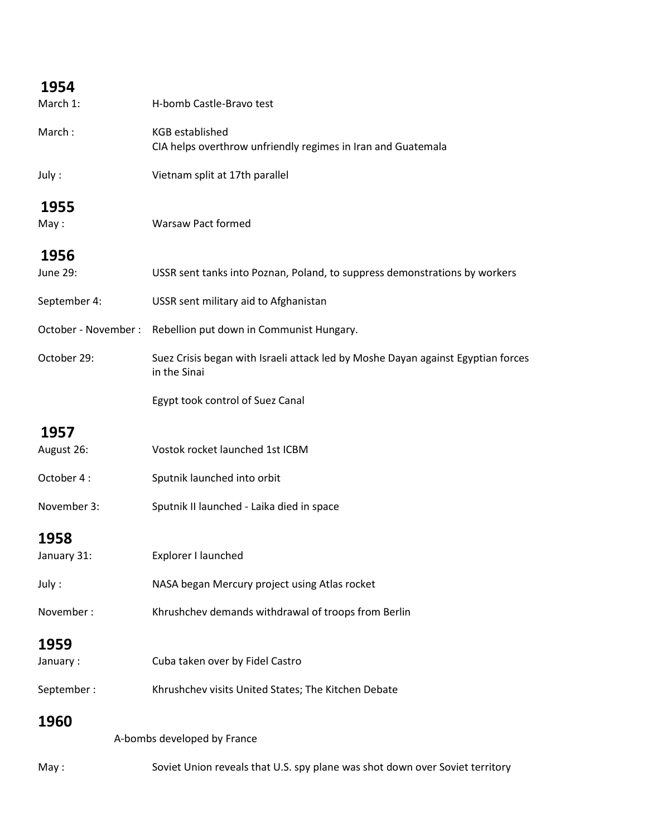### **1954**

| March 1:             | H-bomb Castle-Bravo test                                                                         |
|----------------------|--------------------------------------------------------------------------------------------------|
| March:               | <b>KGB</b> established<br>CIA helps overthrow unfriendly regimes in Iran and Guatemala           |
| July:                | Vietnam split at 17th parallel                                                                   |
| 1955                 |                                                                                                  |
| May:                 | <b>Warsaw Pact formed</b>                                                                        |
| 1956                 |                                                                                                  |
| June 29:             | USSR sent tanks into Poznan, Poland, to suppress demonstrations by workers                       |
| September 4:         | USSR sent military aid to Afghanistan                                                            |
| October - November : | Rebellion put down in Communist Hungary.                                                         |
| October 29:          | Suez Crisis began with Israeli attack led by Moshe Dayan against Egyptian forces<br>in the Sinai |
|                      | Egypt took control of Suez Canal                                                                 |
| 1957                 |                                                                                                  |
| August 26:           | Vostok rocket launched 1st ICBM                                                                  |
| October 4:           | Sputnik launched into orbit                                                                      |
| November 3:          | Sputnik II launched - Laika died in space                                                        |
| 1958                 |                                                                                                  |
| January 31:          | Explorer I launched                                                                              |
| July:                | NASA began Mercury project using Atlas rocket                                                    |
| November:            | Khrushchev demands withdrawal of troops from Berlin                                              |
| 1959                 |                                                                                                  |
| January:             | Cuba taken over by Fidel Castro                                                                  |
| September:           | Khrushchev visits United States; The Kitchen Debate                                              |
| 1960                 |                                                                                                  |
|                      | A-bombs developed by France                                                                      |
| May:                 | Soviet Union reveals that U.S. spy plane was shot down over Soviet territory                     |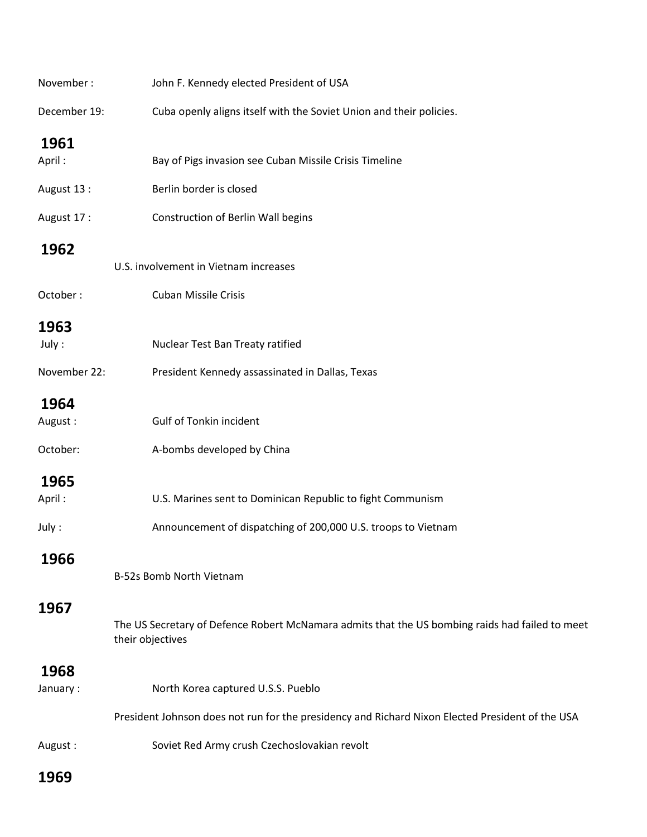| November:    | John F. Kennedy elected President of USA                                                                            |
|--------------|---------------------------------------------------------------------------------------------------------------------|
| December 19: | Cuba openly aligns itself with the Soviet Union and their policies.                                                 |
| 1961         |                                                                                                                     |
| April:       | Bay of Pigs invasion see Cuban Missile Crisis Timeline                                                              |
| August 13:   | Berlin border is closed                                                                                             |
| August 17:   | <b>Construction of Berlin Wall begins</b>                                                                           |
| 1962         |                                                                                                                     |
|              | U.S. involvement in Vietnam increases                                                                               |
| October:     | <b>Cuban Missile Crisis</b>                                                                                         |
| 1963         |                                                                                                                     |
| July:        | Nuclear Test Ban Treaty ratified                                                                                    |
| November 22: | President Kennedy assassinated in Dallas, Texas                                                                     |
| 1964         |                                                                                                                     |
| August:      | Gulf of Tonkin incident                                                                                             |
| October:     | A-bombs developed by China                                                                                          |
| 1965         |                                                                                                                     |
| April:       | U.S. Marines sent to Dominican Republic to fight Communism                                                          |
| July:        | Announcement of dispatching of 200,000 U.S. troops to Vietnam                                                       |
| 1966         |                                                                                                                     |
|              | B-52s Bomb North Vietnam                                                                                            |
| 1967         |                                                                                                                     |
|              | The US Secretary of Defence Robert McNamara admits that the US bombing raids had failed to meet<br>their objectives |
| 1968         |                                                                                                                     |
| January:     | North Korea captured U.S.S. Pueblo                                                                                  |
|              | President Johnson does not run for the presidency and Richard Nixon Elected President of the USA                    |
| August:      | Soviet Red Army crush Czechoslovakian revolt                                                                        |
| 1969         |                                                                                                                     |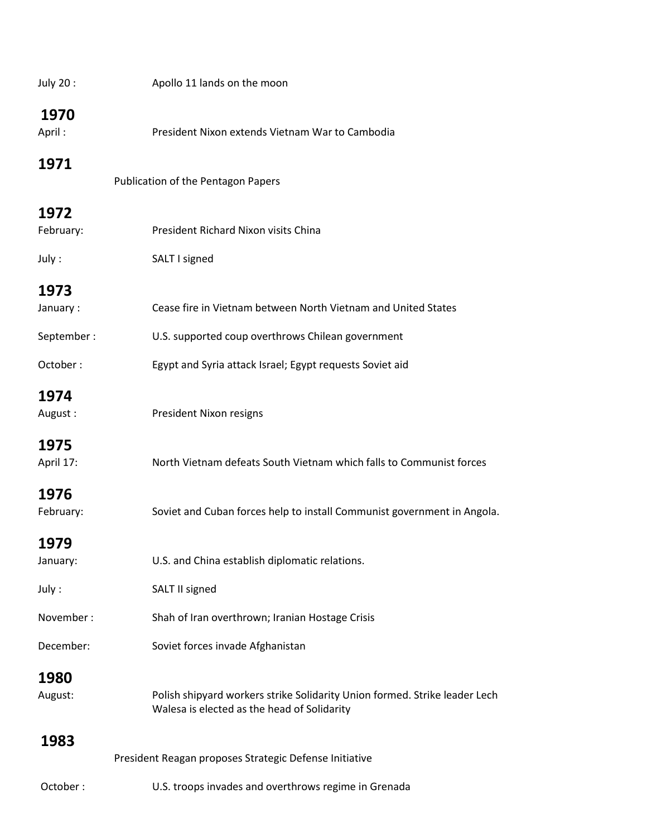| July 20:       | Apollo 11 lands on the moon                                                                                               |
|----------------|---------------------------------------------------------------------------------------------------------------------------|
| 1970<br>April: | President Nixon extends Vietnam War to Cambodia                                                                           |
| 1971           | Publication of the Pentagon Papers                                                                                        |
| 1972           |                                                                                                                           |
| February:      | President Richard Nixon visits China                                                                                      |
| July:          | SALT I signed                                                                                                             |
| 1973           |                                                                                                                           |
| January:       | Cease fire in Vietnam between North Vietnam and United States                                                             |
| September:     | U.S. supported coup overthrows Chilean government                                                                         |
| October:       | Egypt and Syria attack Israel; Egypt requests Soviet aid                                                                  |
| 1974           |                                                                                                                           |
| August:        | President Nixon resigns                                                                                                   |
| 1975           |                                                                                                                           |
| April 17:      | North Vietnam defeats South Vietnam which falls to Communist forces                                                       |
| 1976           |                                                                                                                           |
| February:      | Soviet and Cuban forces help to install Communist government in Angola.                                                   |
| 1979           |                                                                                                                           |
| January:       | U.S. and China establish diplomatic relations.                                                                            |
| July:          | SALT II signed                                                                                                            |
| November:      | Shah of Iran overthrown; Iranian Hostage Crisis                                                                           |
| December:      | Soviet forces invade Afghanistan                                                                                          |
| 1980           |                                                                                                                           |
| August:        | Polish shipyard workers strike Solidarity Union formed. Strike leader Lech<br>Walesa is elected as the head of Solidarity |
| 1983           |                                                                                                                           |
|                | President Reagan proposes Strategic Defense Initiative                                                                    |
| October:       | U.S. troops invades and overthrows regime in Grenada                                                                      |